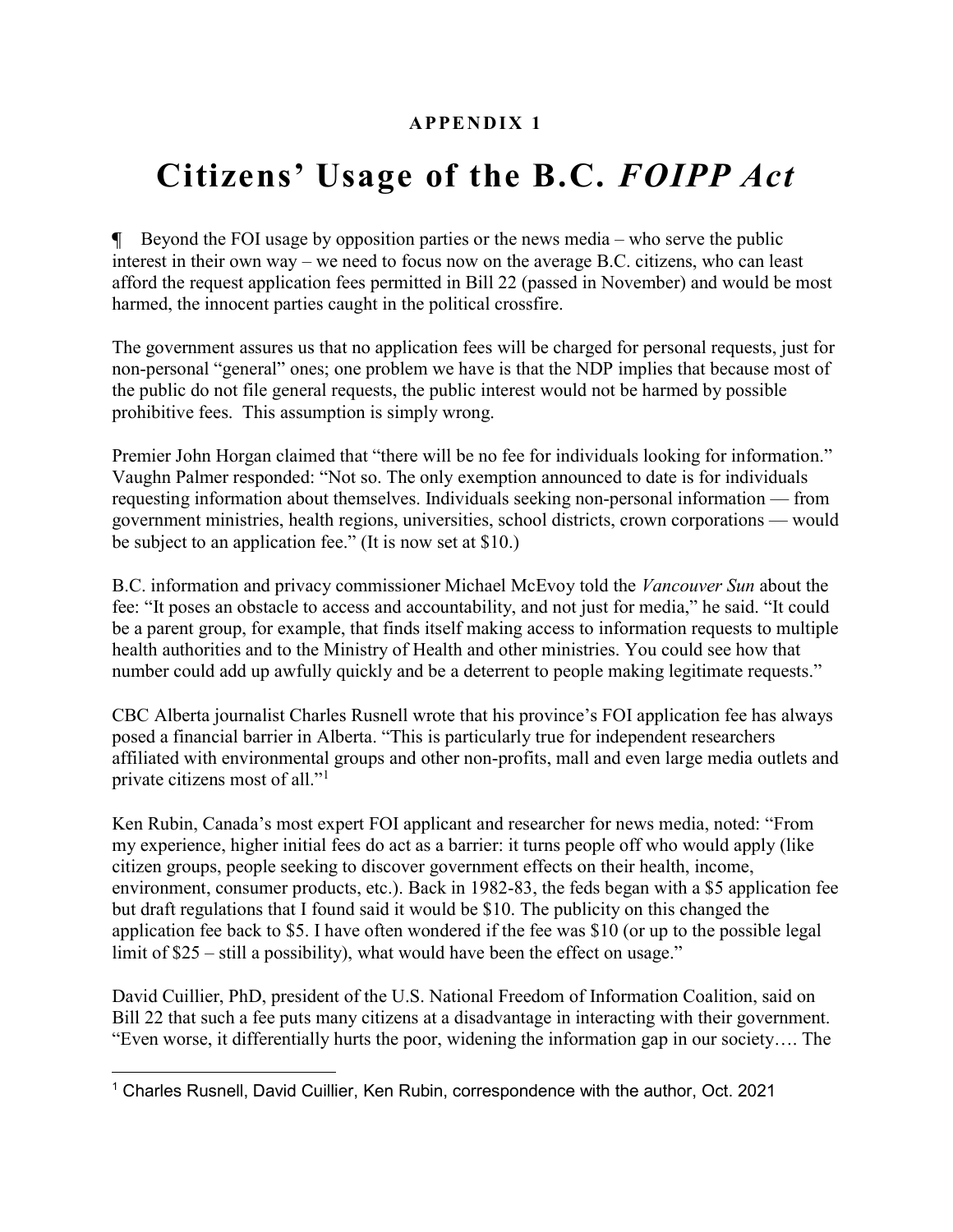## A PPENDIX 1

# Citizens' Usage of the B.C. FOIPP Act

 $\blacksquare$  Beyond the FOI usage by opposition parties or the news media – who serve the public interest in their own way – we need to focus now on the average B.C. citizens, who can least afford the request application fees permitted in Bill 22 (passed in November) and would be most harmed, the innocent parties caught in the political crossfire.

The government assures us that no application fees will be charged for personal requests, just for non-personal "general" ones; one problem we have is that the NDP implies that because most of the public do not file general requests, the public interest would not be harmed by possible prohibitive fees. This assumption is simply wrong.

Premier John Horgan claimed that "there will be no fee for individuals looking for information." Vaughn Palmer responded: "Not so. The only exemption announced to date is for individuals requesting information about themselves. Individuals seeking non-personal information — from government ministries, health regions, universities, school districts, crown corporations — would be subject to an application fee." (It is now set at \$10.)

B.C. information and privacy commissioner Michael McEvoy told the Vancouver Sun about the fee: "It poses an obstacle to access and accountability, and not just for media," he said. "It could be a parent group, for example, that finds itself making access to information requests to multiple health authorities and to the Ministry of Health and other ministries. You could see how that number could add up awfully quickly and be a deterrent to people making legitimate requests."

CBC Alberta journalist Charles Rusnell wrote that his province's FOI application fee has always posed a financial barrier in Alberta. "This is particularly true for independent researchers affiliated with environmental groups and other non-profits, mall and even large media outlets and private citizens most of all."<sup>1</sup>

Ken Rubin, Canada's most expert FOI applicant and researcher for news media, noted: "From my experience, higher initial fees do act as a barrier: it turns people off who would apply (like citizen groups, people seeking to discover government effects on their health, income, environment, consumer products, etc.). Back in 1982-83, the feds began with a \$5 application fee but draft regulations that I found said it would be \$10. The publicity on this changed the application fee back to \$5. I have often wondered if the fee was \$10 (or up to the possible legal limit of \$25 – still a possibility), what would have been the effect on usage."

David Cuillier, PhD, president of the U.S. National Freedom of Information Coalition, said on Bill 22 that such a fee puts many citizens at a disadvantage in interacting with their government. "Even worse, it differentially hurts the poor, widening the information gap in our society…. The

<sup>&</sup>lt;sup>1</sup> Charles Rusnell, David Cuillier, Ken Rubin, correspondence with the author, Oct. 2021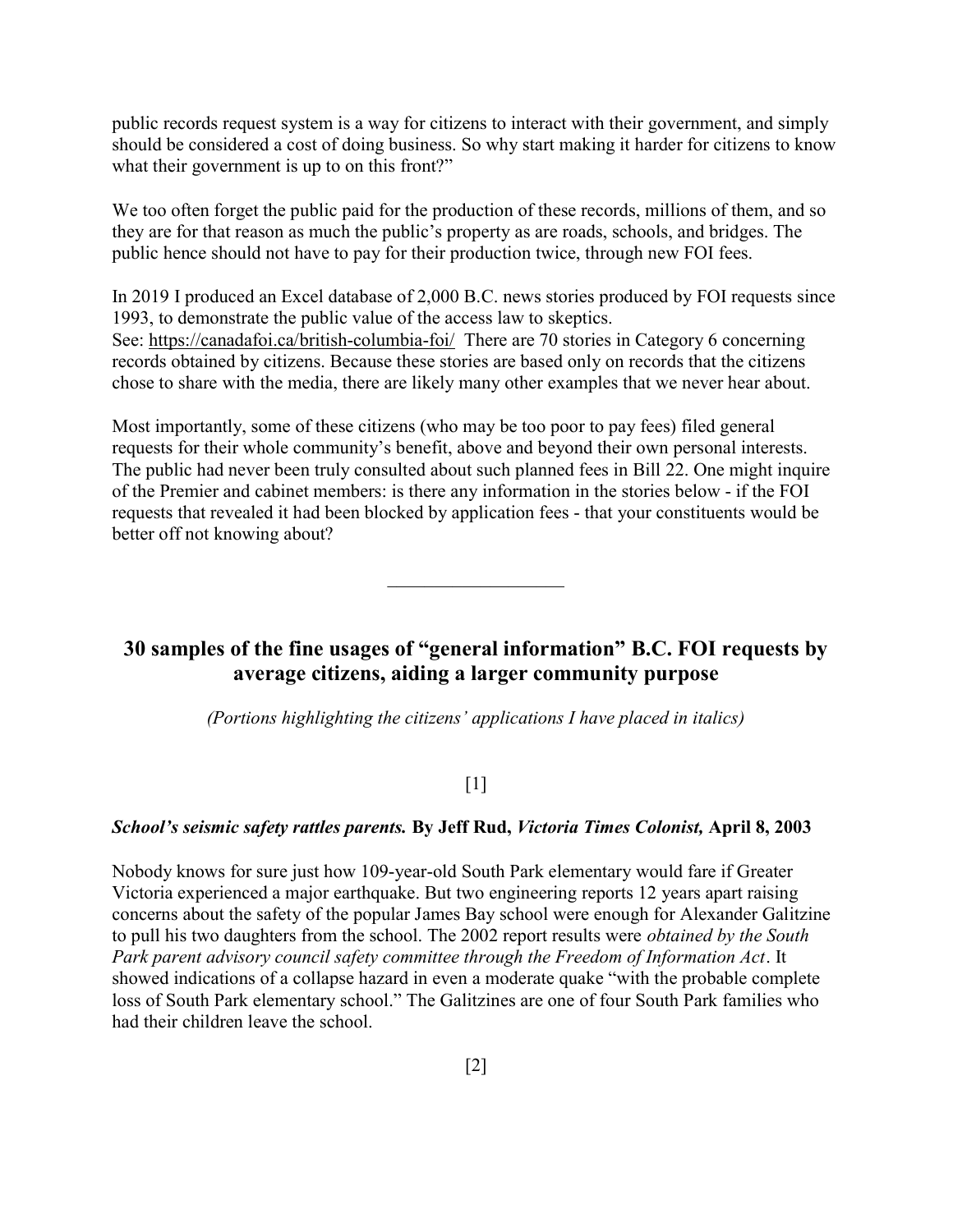public records request system is a way for citizens to interact with their government, and simply should be considered a cost of doing business. So why start making it harder for citizens to know what their government is up to on this front?"

We too often forget the public paid for the production of these records, millions of them, and so they are for that reason as much the public's property as are roads, schools, and bridges. The public hence should not have to pay for their production twice, through new FOI fees.

In 2019 I produced an Excel database of 2,000 B.C. news stories produced by FOI requests since 1993, to demonstrate the public value of the access law to skeptics. See: https://canadafoi.ca/british-columbia-foi/ There are 70 stories in Category 6 concerning records obtained by citizens. Because these stories are based only on records that the citizens chose to share with the media, there are likely many other examples that we never hear about.

Most importantly, some of these citizens (who may be too poor to pay fees) filed general requests for their whole community's benefit, above and beyond their own personal interests. The public had never been truly consulted about such planned fees in Bill 22. One might inquire of the Premier and cabinet members: is there any information in the stories below - if the FOI requests that revealed it had been blocked by application fees - that your constituents would be better off not knowing about?

# 30 samples of the fine usages of "general information" B.C. FOI requests by average citizens, aiding a larger community purpose

 $\mathcal{L}_\text{max}$  , where  $\mathcal{L}_\text{max}$ 

(Portions highlighting the citizens' applications I have placed in italics)

#### [1]

#### School's seismic safety rattles parents. By Jeff Rud, Victoria Times Colonist, April 8, 2003

Nobody knows for sure just how 109-year-old South Park elementary would fare if Greater Victoria experienced a major earthquake. But two engineering reports 12 years apart raising concerns about the safety of the popular James Bay school were enough for Alexander Galitzine to pull his two daughters from the school. The 2002 report results were *obtained by the South* Park parent advisory council safety committee through the Freedom of Information Act. It showed indications of a collapse hazard in even a moderate quake "with the probable complete loss of South Park elementary school." The Galitzines are one of four South Park families who had their children leave the school.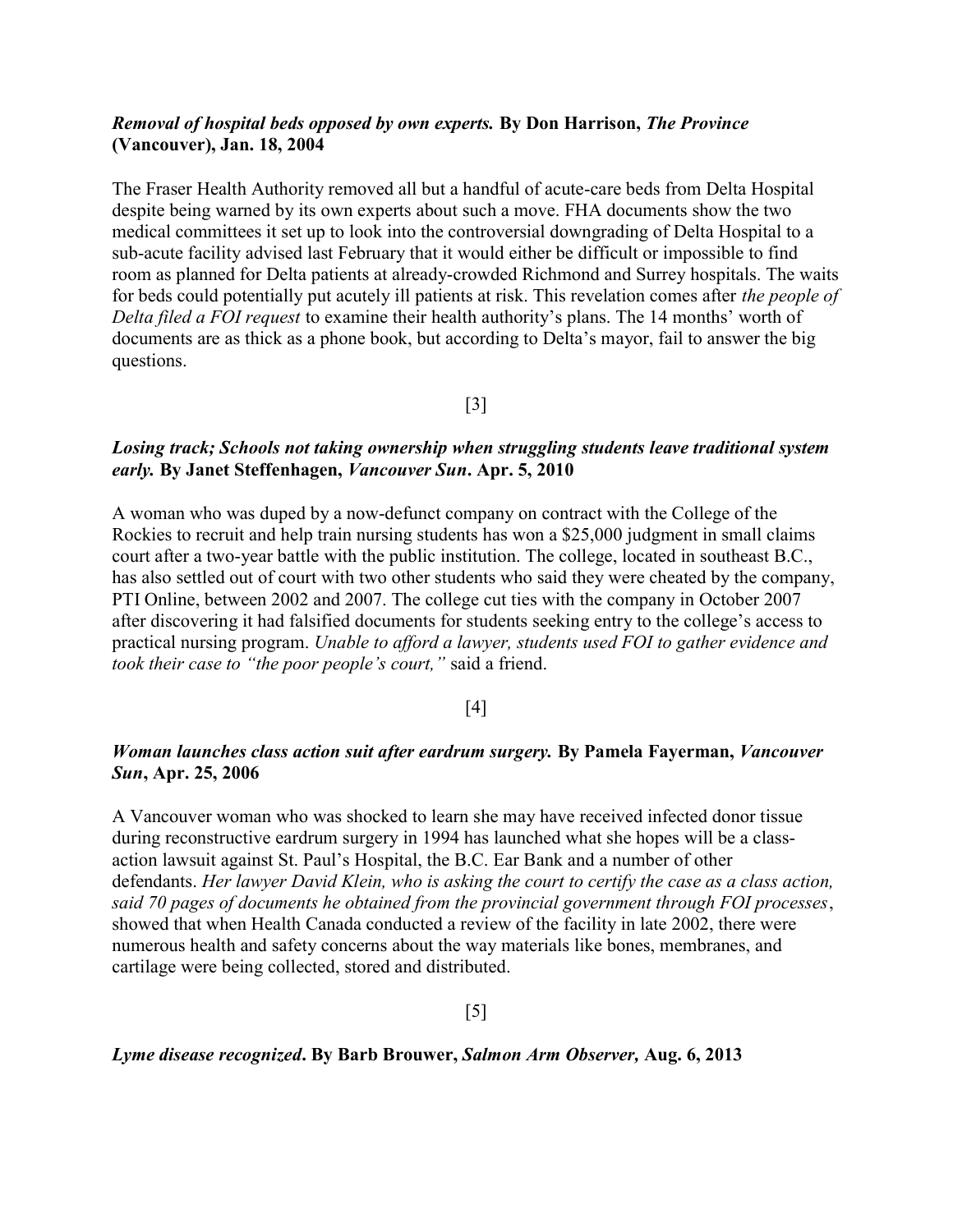## Removal of hospital beds opposed by own experts. By Don Harrison, The Province (Vancouver), Jan. 18, 2004

The Fraser Health Authority removed all but a handful of acute-care beds from Delta Hospital despite being warned by its own experts about such a move. FHA documents show the two medical committees it set up to look into the controversial downgrading of Delta Hospital to a sub-acute facility advised last February that it would either be difficult or impossible to find room as planned for Delta patients at already-crowded Richmond and Surrey hospitals. The waits for beds could potentially put acutely ill patients at risk. This revelation comes after the people of Delta filed a FOI request to examine their health authority's plans. The 14 months' worth of documents are as thick as a phone book, but according to Delta's mayor, fail to answer the big questions.

[3]

## Losing track; Schools not taking ownership when struggling students leave traditional system early. By Janet Steffenhagen, Vancouver Sun. Apr. 5, 2010

A woman who was duped by a now-defunct company on contract with the College of the Rockies to recruit and help train nursing students has won a \$25,000 judgment in small claims court after a two-year battle with the public institution. The college, located in southeast B.C., has also settled out of court with two other students who said they were cheated by the company, PTI Online, between 2002 and 2007. The college cut ties with the company in October 2007 after discovering it had falsified documents for students seeking entry to the college's access to practical nursing program. Unable to afford a lawyer, students used FOI to gather evidence and took their case to "the poor people's court," said a friend.

## [4]

## Woman launches class action suit after eardrum surgery. By Pamela Fayerman, Vancouver Sun, Apr. 25, 2006

A Vancouver woman who was shocked to learn she may have received infected donor tissue during reconstructive eardrum surgery in 1994 has launched what she hopes will be a classaction lawsuit against St. Paul's Hospital, the B.C. Ear Bank and a number of other defendants. Her lawyer David Klein, who is asking the court to certify the case as a class action, said 70 pages of documents he obtained from the provincial government through FOI processes, showed that when Health Canada conducted a review of the facility in late 2002, there were numerous health and safety concerns about the way materials like bones, membranes, and cartilage were being collected, stored and distributed.

[5]

#### Lyme disease recognized. By Barb Brouwer, Salmon Arm Observer, Aug. 6, 2013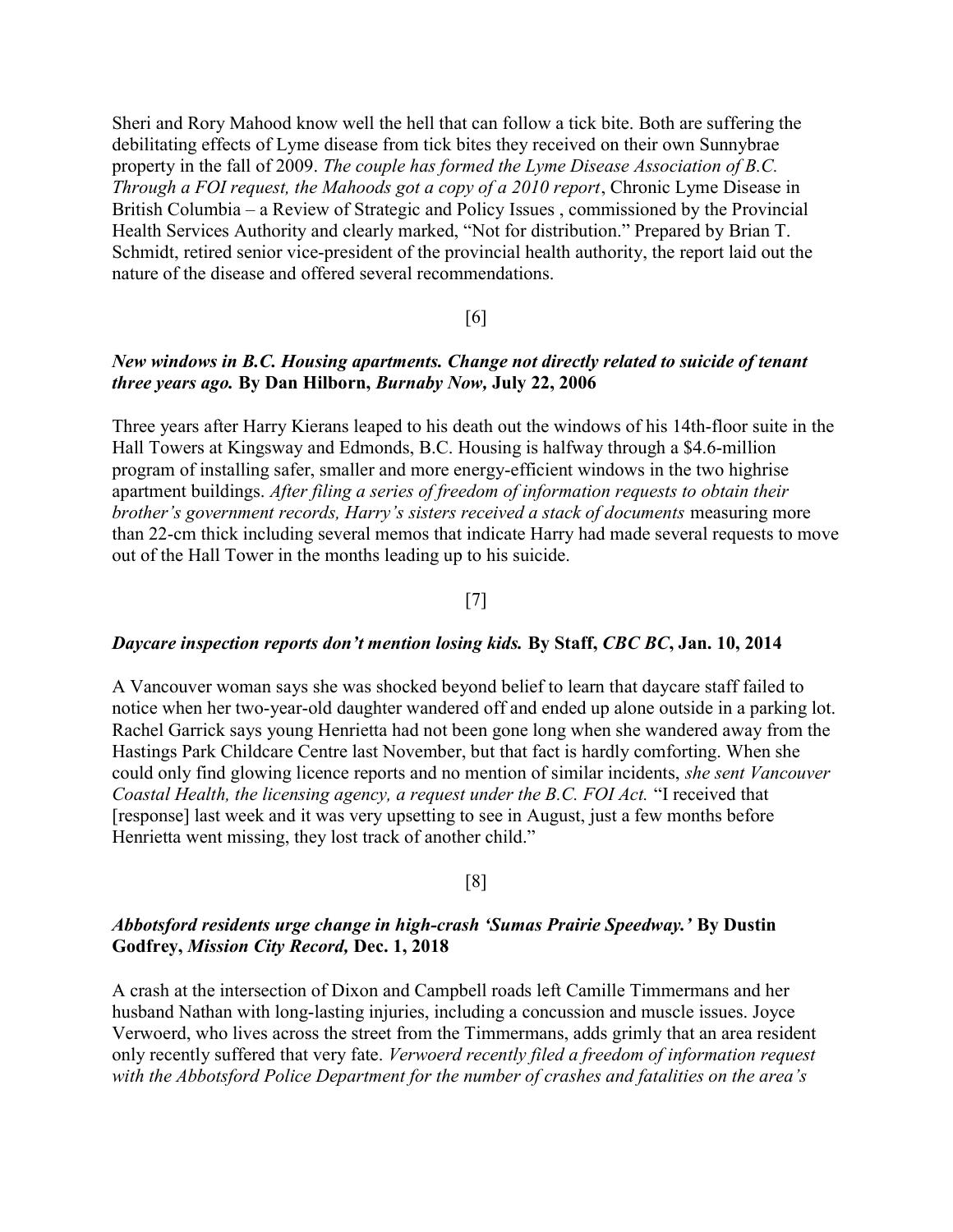Sheri and Rory Mahood know well the hell that can follow a tick bite. Both are suffering the debilitating effects of Lyme disease from tick bites they received on their own Sunnybrae property in the fall of 2009. The couple has formed the Lyme Disease Association of B.C. Through a FOI request, the Mahoods got a copy of a 2010 report, Chronic Lyme Disease in British Columbia – a Review of Strategic and Policy Issues , commissioned by the Provincial Health Services Authority and clearly marked, "Not for distribution." Prepared by Brian T. Schmidt, retired senior vice-president of the provincial health authority, the report laid out the nature of the disease and offered several recommendations.

## [6]

## New windows in B.C. Housing apartments. Change not directly related to suicide of tenant three years ago. By Dan Hilborn, Burnaby Now, July 22, 2006

Three years after Harry Kierans leaped to his death out the windows of his 14th-floor suite in the Hall Towers at Kingsway and Edmonds, B.C. Housing is halfway through a \$4.6-million program of installing safer, smaller and more energy-efficient windows in the two highrise apartment buildings. After filing a series of freedom of information requests to obtain their brother's government records, Harry's sisters received a stack of documents measuring more than 22-cm thick including several memos that indicate Harry had made several requests to move out of the Hall Tower in the months leading up to his suicide.

## [7]

#### Daycare inspection reports don't mention losing kids. By Staff, CBC BC, Jan. 10, 2014

A Vancouver woman says she was shocked beyond belief to learn that daycare staff failed to notice when her two-year-old daughter wandered off and ended up alone outside in a parking lot. Rachel Garrick says young Henrietta had not been gone long when she wandered away from the Hastings Park Childcare Centre last November, but that fact is hardly comforting. When she could only find glowing licence reports and no mention of similar incidents, she sent Vancouver Coastal Health, the licensing agency, a request under the B.C. FOI Act. "I received that [response] last week and it was very upsetting to see in August, just a few months before Henrietta went missing, they lost track of another child."

#### [8]

## Abbotsford residents urge change in high-crash 'Sumas Prairie Speedway.' By Dustin Godfrey, Mission City Record, Dec. 1, 2018

A crash at the intersection of Dixon and Campbell roads left Camille Timmermans and her husband Nathan with long-lasting injuries, including a concussion and muscle issues. Joyce Verwoerd, who lives across the street from the Timmermans, adds grimly that an area resident only recently suffered that very fate. Verwoerd recently filed a freedom of information request with the Abbotsford Police Department for the number of crashes and fatalities on the area's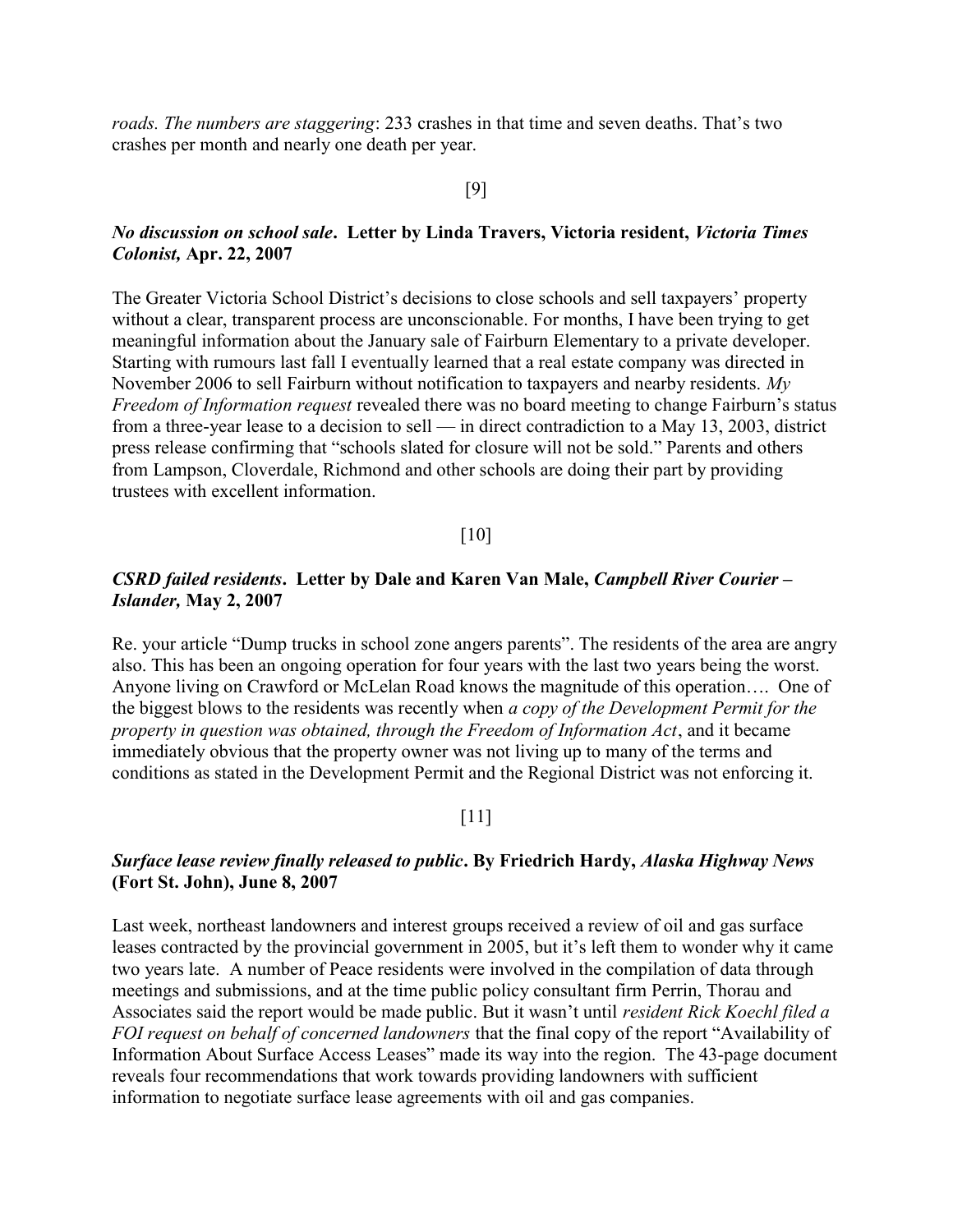roads. The numbers are staggering: 233 crashes in that time and seven deaths. That's two crashes per month and nearly one death per year.

## [9]

## No discussion on school sale. Letter by Linda Travers, Victoria resident, Victoria Times Colonist, Apr. 22, 2007

The Greater Victoria School District's decisions to close schools and sell taxpayers' property without a clear, transparent process are unconscionable. For months, I have been trying to get meaningful information about the January sale of Fairburn Elementary to a private developer. Starting with rumours last fall I eventually learned that a real estate company was directed in November 2006 to sell Fairburn without notification to taxpayers and nearby residents. My Freedom of Information request revealed there was no board meeting to change Fairburn's status from a three-year lease to a decision to sell — in direct contradiction to a May 13, 2003, district press release confirming that "schools slated for closure will not be sold." Parents and others from Lampson, Cloverdale, Richmond and other schools are doing their part by providing trustees with excellent information.

#### [10]

### CSRD failed residents. Letter by Dale and Karen Van Male, Campbell River Courier – Islander, May 2, 2007

Re. your article "Dump trucks in school zone angers parents". The residents of the area are angry also. This has been an ongoing operation for four years with the last two years being the worst. Anyone living on Crawford or McLelan Road knows the magnitude of this operation…. One of the biggest blows to the residents was recently when a copy of the Development Permit for the property in question was obtained, through the Freedom of Information Act, and it became immediately obvious that the property owner was not living up to many of the terms and conditions as stated in the Development Permit and the Regional District was not enforcing it.

## [11]

## Surface lease review finally released to public. By Friedrich Hardy, Alaska Highway News (Fort St. John), June 8, 2007

Last week, northeast landowners and interest groups received a review of oil and gas surface leases contracted by the provincial government in 2005, but it's left them to wonder why it came two years late. A number of Peace residents were involved in the compilation of data through meetings and submissions, and at the time public policy consultant firm Perrin, Thorau and Associates said the report would be made public. But it wasn't until *resident Rick Koechl filed a* FOI request on behalf of concerned landowners that the final copy of the report "Availability of Information About Surface Access Leases" made its way into the region. The 43-page document reveals four recommendations that work towards providing landowners with sufficient information to negotiate surface lease agreements with oil and gas companies.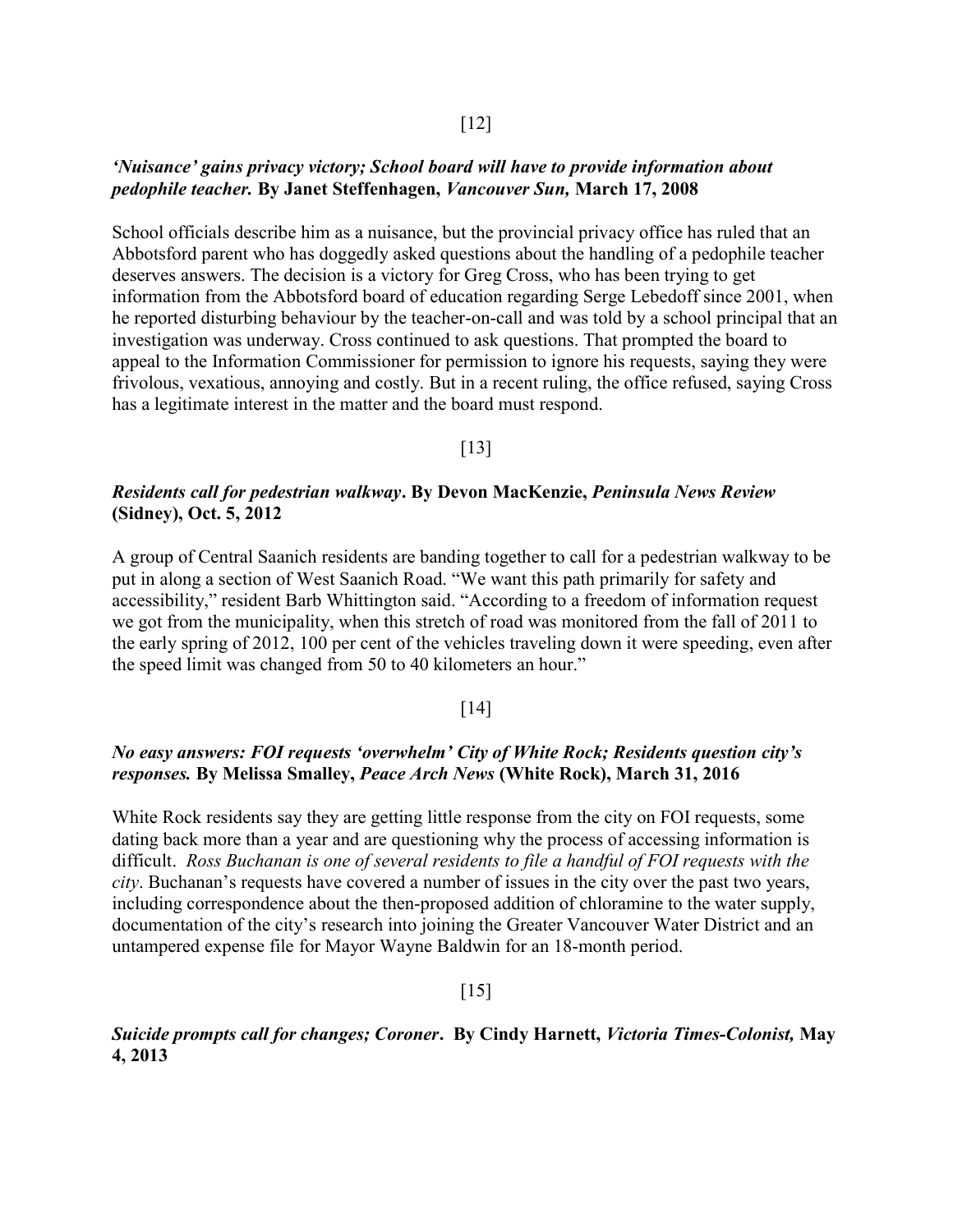## 'Nuisance' gains privacy victory; School board will have to provide information about pedophile teacher. By Janet Steffenhagen, Vancouver Sun, March 17, 2008

School officials describe him as a nuisance, but the provincial privacy office has ruled that an Abbotsford parent who has doggedly asked questions about the handling of a pedophile teacher deserves answers. The decision is a victory for Greg Cross, who has been trying to get information from the Abbotsford board of education regarding Serge Lebedoff since 2001, when he reported disturbing behaviour by the teacher-on-call and was told by a school principal that an investigation was underway. Cross continued to ask questions. That prompted the board to appeal to the Information Commissioner for permission to ignore his requests, saying they were frivolous, vexatious, annoying and costly. But in a recent ruling, the office refused, saying Cross has a legitimate interest in the matter and the board must respond.

#### [13]

## Residents call for pedestrian walkway. By Devon MacKenzie, Peninsula News Review (Sidney), Oct. 5, 2012

A group of Central Saanich residents are banding together to call for a pedestrian walkway to be put in along a section of West Saanich Road. "We want this path primarily for safety and accessibility," resident Barb Whittington said. "According to a freedom of information request we got from the municipality, when this stretch of road was monitored from the fall of 2011 to the early spring of 2012, 100 per cent of the vehicles traveling down it were speeding, even after the speed limit was changed from 50 to 40 kilometers an hour."

#### [14]

## No easy answers: FOI requests 'overwhelm' City of White Rock; Residents question city's responses. By Melissa Smalley, Peace Arch News (White Rock), March 31, 2016

White Rock residents say they are getting little response from the city on FOI requests, some dating back more than a year and are questioning why the process of accessing information is difficult. Ross Buchanan is one of several residents to file a handful of FOI requests with the city. Buchanan's requests have covered a number of issues in the city over the past two years, including correspondence about the then-proposed addition of chloramine to the water supply, documentation of the city's research into joining the Greater Vancouver Water District and an untampered expense file for Mayor Wayne Baldwin for an 18-month period.

#### $\lceil 15 \rceil$

## Suicide prompts call for changes; Coroner. By Cindy Harnett, Victoria Times-Colonist, May 4, 2013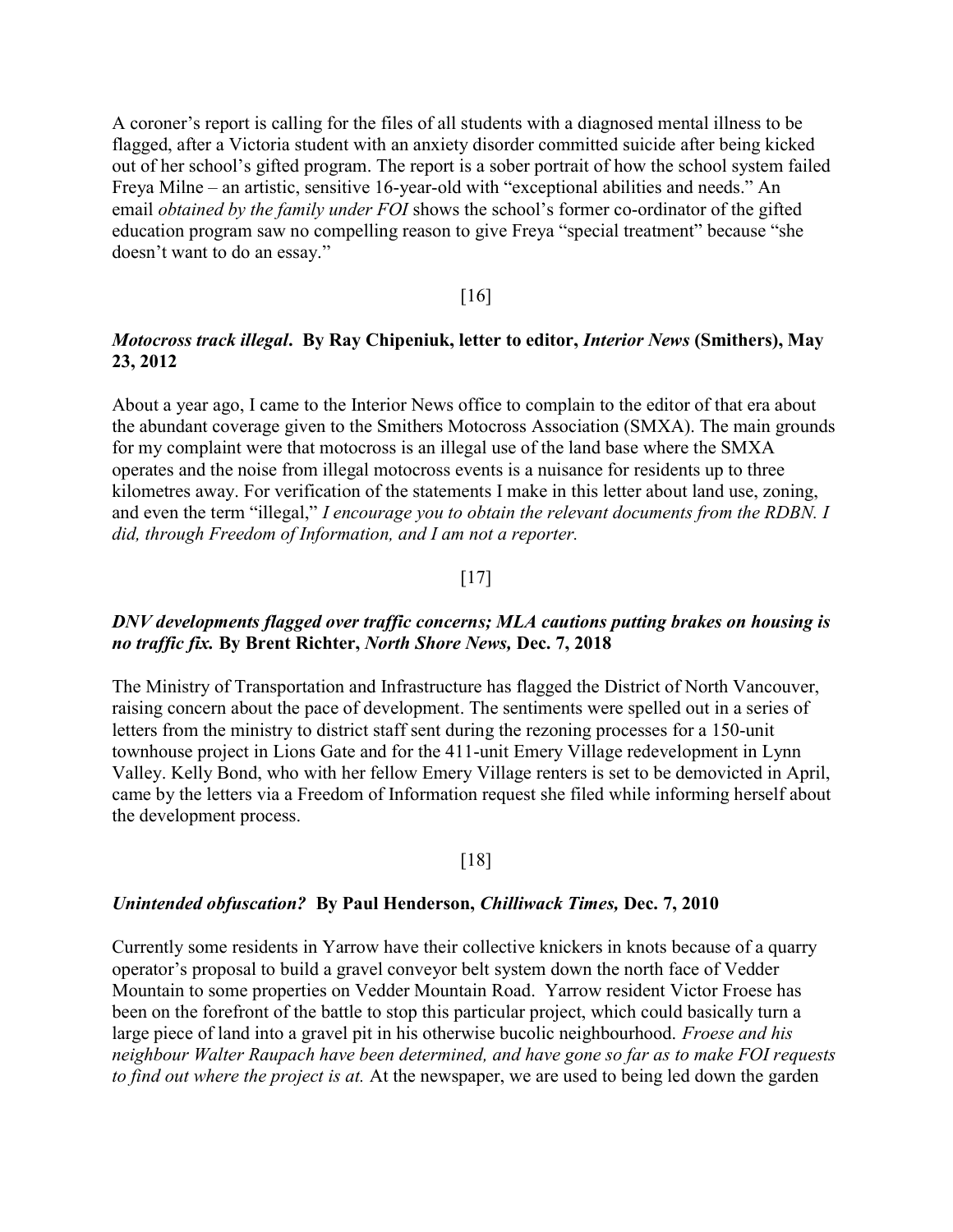A coroner's report is calling for the files of all students with a diagnosed mental illness to be flagged, after a Victoria student with an anxiety disorder committed suicide after being kicked out of her school's gifted program. The report is a sober portrait of how the school system failed Freya Milne – an artistic, sensitive 16-year-old with "exceptional abilities and needs." An email *obtained by the family under FOI* shows the school's former co-ordinator of the gifted education program saw no compelling reason to give Freya "special treatment" because "she doesn't want to do an essay."

#### [16]

## Motocross track illegal. By Ray Chipeniuk, letter to editor, Interior News (Smithers), May 23, 2012

About a year ago, I came to the Interior News office to complain to the editor of that era about the abundant coverage given to the Smithers Motocross Association (SMXA). The main grounds for my complaint were that motocross is an illegal use of the land base where the SMXA operates and the noise from illegal motocross events is a nuisance for residents up to three kilometres away. For verification of the statements I make in this letter about land use, zoning, and even the term "illegal," I encourage you to obtain the relevant documents from the RDBN. I did, through Freedom of Information, and I am not a reporter.

#### [17]

## DNV developments flagged over traffic concerns; MLA cautions putting brakes on housing is no traffic fix. By Brent Richter, North Shore News, Dec. 7, 2018

The Ministry of Transportation and Infrastructure has flagged the District of North Vancouver, raising concern about the pace of development. The sentiments were spelled out in a series of letters from the ministry to district staff sent during the rezoning processes for a 150-unit townhouse project in Lions Gate and for the 411-unit Emery Village redevelopment in Lynn Valley. Kelly Bond, who with her fellow Emery Village renters is set to be demovicted in April, came by the letters via a Freedom of Information request she filed while informing herself about the development process.

#### [18]

#### Unintended obfuscation? By Paul Henderson, Chilliwack Times, Dec. 7, 2010

Currently some residents in Yarrow have their collective knickers in knots because of a quarry operator's proposal to build a gravel conveyor belt system down the north face of Vedder Mountain to some properties on Vedder Mountain Road. Yarrow resident Victor Froese has been on the forefront of the battle to stop this particular project, which could basically turn a large piece of land into a gravel pit in his otherwise bucolic neighbourhood. *Froese and his* neighbour Walter Raupach have been determined, and have gone so far as to make FOI requests to find out where the project is at. At the newspaper, we are used to being led down the garden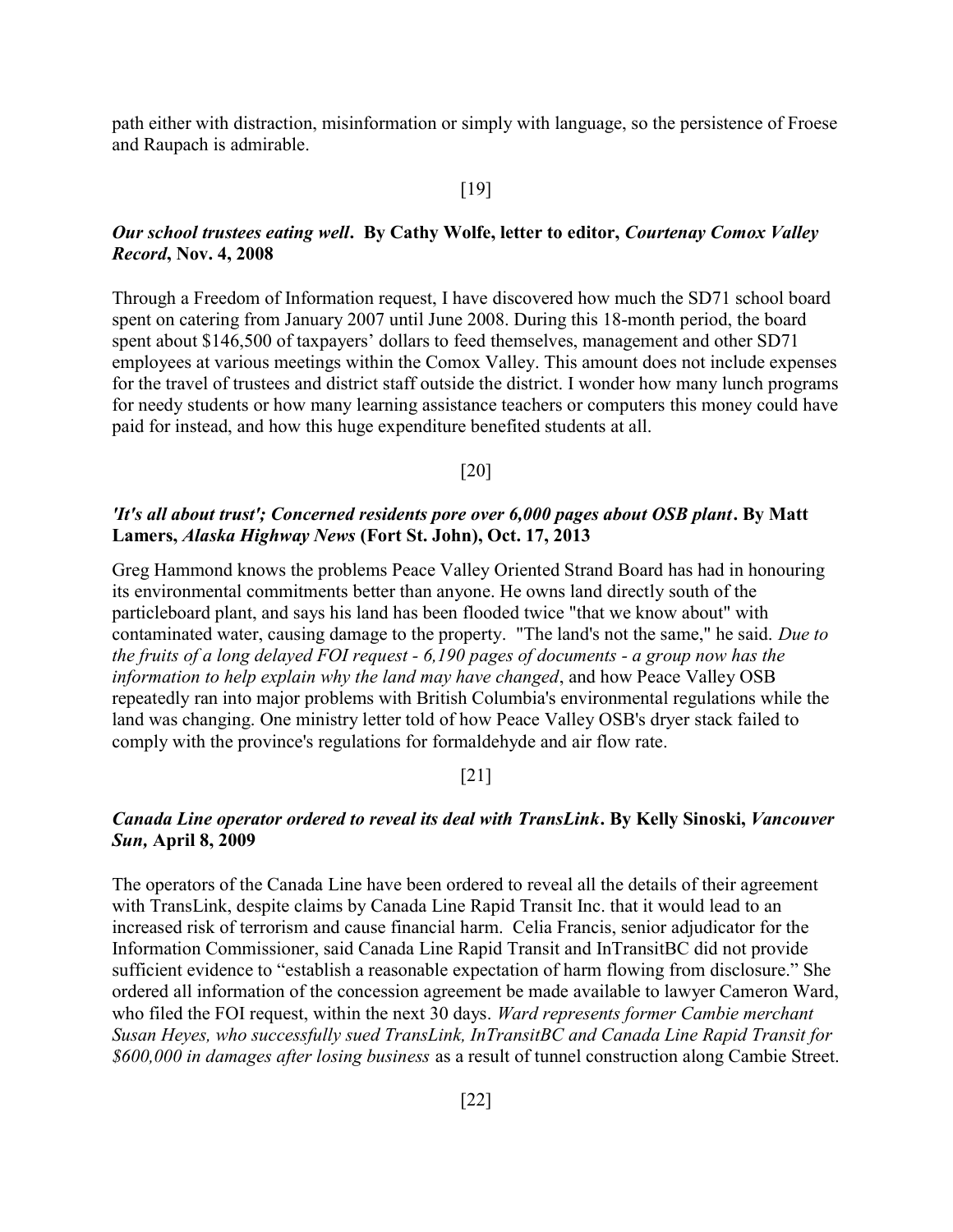path either with distraction, misinformation or simply with language, so the persistence of Froese and Raupach is admirable.

#### [19]

## Our school trustees eating well. By Cathy Wolfe, letter to editor, Courtenay Comox Valley Record, Nov. 4, 2008

Through a Freedom of Information request, I have discovered how much the SD71 school board spent on catering from January 2007 until June 2008. During this 18-month period, the board spent about \$146,500 of taxpayers' dollars to feed themselves, management and other SD71 employees at various meetings within the Comox Valley. This amount does not include expenses for the travel of trustees and district staff outside the district. I wonder how many lunch programs for needy students or how many learning assistance teachers or computers this money could have paid for instead, and how this huge expenditure benefited students at all.

[20]

## 'It's all about trust'; Concerned residents pore over 6,000 pages about OSB plant. By Matt Lamers, Alaska Highway News (Fort St. John), Oct. 17, 2013

Greg Hammond knows the problems Peace Valley Oriented Strand Board has had in honouring its environmental commitments better than anyone. He owns land directly south of the particleboard plant, and says his land has been flooded twice "that we know about" with contaminated water, causing damage to the property. "The land's not the same," he said. Due to the fruits of a long delayed FOI request - 6,190 pages of documents - a group now has the information to help explain why the land may have changed, and how Peace Valley OSB repeatedly ran into major problems with British Columbia's environmental regulations while the land was changing. One ministry letter told of how Peace Valley OSB's dryer stack failed to comply with the province's regulations for formaldehyde and air flow rate.

#### [21]

## Canada Line operator ordered to reveal its deal with TransLink. By Kelly Sinoski, Vancouver Sun, April 8, 2009

The operators of the Canada Line have been ordered to reveal all the details of their agreement with TransLink, despite claims by Canada Line Rapid Transit Inc. that it would lead to an increased risk of terrorism and cause financial harm. Celia Francis, senior adjudicator for the Information Commissioner, said Canada Line Rapid Transit and InTransitBC did not provide sufficient evidence to "establish a reasonable expectation of harm flowing from disclosure." She ordered all information of the concession agreement be made available to lawyer Cameron Ward, who filed the FOI request, within the next 30 days. Ward represents former Cambie merchant Susan Heyes, who successfully sued TransLink, InTransitBC and Canada Line Rapid Transit for \$600,000 in damages after losing business as a result of tunnel construction along Cambie Street.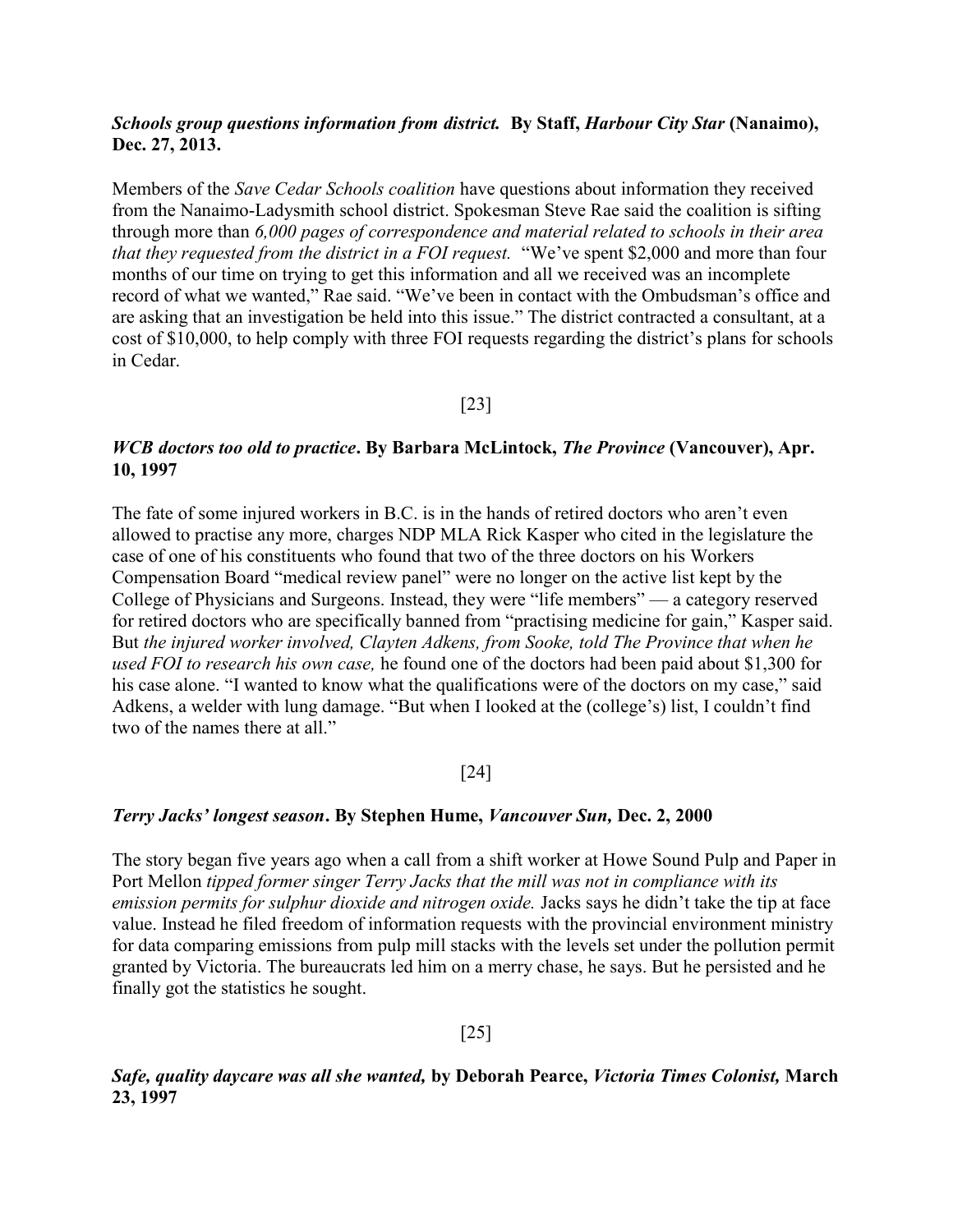## Schools group questions information from district. By Staff, Harbour City Star (Nanaimo), Dec. 27, 2013.

Members of the Save Cedar Schools coalition have questions about information they received from the Nanaimo-Ladysmith school district. Spokesman Steve Rae said the coalition is sifting through more than 6,000 pages of correspondence and material related to schools in their area that they requested from the district in a FOI request. "We've spent \$2,000 and more than four months of our time on trying to get this information and all we received was an incomplete record of what we wanted," Rae said. "We've been in contact with the Ombudsman's office and are asking that an investigation be held into this issue." The district contracted a consultant, at a cost of \$10,000, to help comply with three FOI requests regarding the district's plans for schools in Cedar.

[23]

## WCB doctors too old to practice. By Barbara McLintock, The Province (Vancouver), Apr. 10, 1997

The fate of some injured workers in B.C. is in the hands of retired doctors who aren't even allowed to practise any more, charges NDP MLA Rick Kasper who cited in the legislature the case of one of his constituents who found that two of the three doctors on his Workers Compensation Board "medical review panel" were no longer on the active list kept by the College of Physicians and Surgeons. Instead, they were "life members" — a category reserved for retired doctors who are specifically banned from "practising medicine for gain," Kasper said. But the injured worker involved, Clayten Adkens, from Sooke, told The Province that when he used FOI to research his own case, he found one of the doctors had been paid about \$1,300 for his case alone. "I wanted to know what the qualifications were of the doctors on my case," said Adkens, a welder with lung damage. "But when I looked at the (college's) list, I couldn't find two of the names there at all."

## [24]

## Terry Jacks' longest season. By Stephen Hume, Vancouver Sun, Dec. 2, 2000

The story began five years ago when a call from a shift worker at Howe Sound Pulp and Paper in Port Mellon tipped former singer Terry Jacks that the mill was not in compliance with its emission permits for sulphur dioxide and nitrogen oxide. Jacks says he didn't take the tip at face value. Instead he filed freedom of information requests with the provincial environment ministry for data comparing emissions from pulp mill stacks with the levels set under the pollution permit granted by Victoria. The bureaucrats led him on a merry chase, he says. But he persisted and he finally got the statistics he sought.

## [25]

Safe, quality daycare was all she wanted, by Deborah Pearce, Victoria Times Colonist, March 23, 1997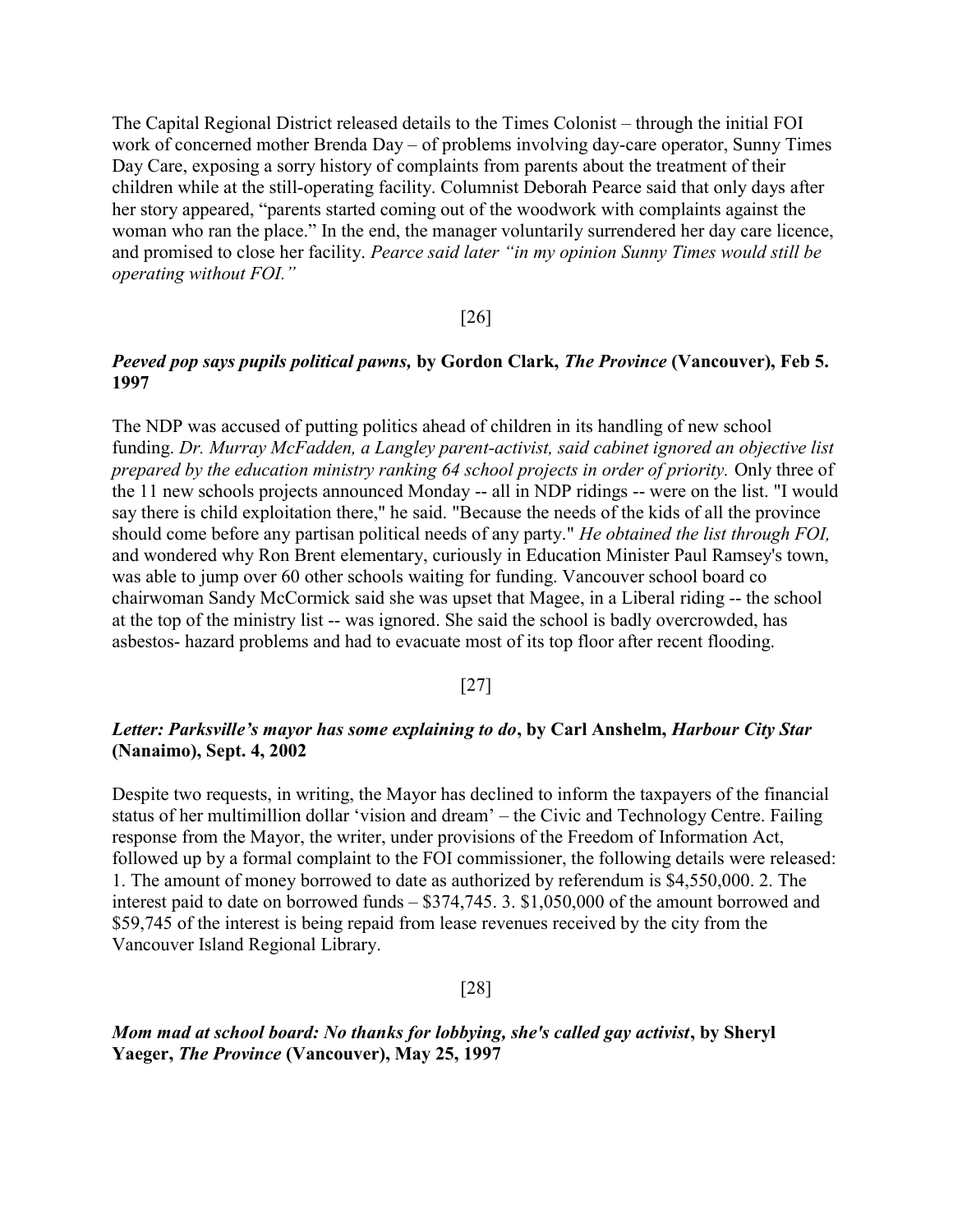The Capital Regional District released details to the Times Colonist – through the initial FOI work of concerned mother Brenda Day – of problems involving day-care operator, Sunny Times Day Care, exposing a sorry history of complaints from parents about the treatment of their children while at the still-operating facility. Columnist Deborah Pearce said that only days after her story appeared, "parents started coming out of the woodwork with complaints against the woman who ran the place." In the end, the manager voluntarily surrendered her day care licence, and promised to close her facility. Pearce said later "in my opinion Sunny Times would still be operating without FOI."

#### [26]

## Peeved pop says pupils political pawns, by Gordon Clark, The Province (Vancouver), Feb 5. 1997

The NDP was accused of putting politics ahead of children in its handling of new school funding. Dr. Murray McFadden, a Langley parent-activist, said cabinet ignored an objective list prepared by the education ministry ranking 64 school projects in order of priority. Only three of the 11 new schools projects announced Monday -- all in NDP ridings -- were on the list. "I would say there is child exploitation there," he said. "Because the needs of the kids of all the province should come before any partisan political needs of any party." He obtained the list through FOI, and wondered why Ron Brent elementary, curiously in Education Minister Paul Ramsey's town, was able to jump over 60 other schools waiting for funding. Vancouver school board co chairwoman Sandy McCormick said she was upset that Magee, in a Liberal riding -- the school at the top of the ministry list -- was ignored. She said the school is badly overcrowded, has asbestos- hazard problems and had to evacuate most of its top floor after recent flooding.

## [27]

## Letter: Parksville's mayor has some explaining to do, by Carl Anshelm, Harbour City Star (Nanaimo), Sept. 4, 2002

Despite two requests, in writing, the Mayor has declined to inform the taxpayers of the financial status of her multimillion dollar 'vision and dream' – the Civic and Technology Centre. Failing response from the Mayor, the writer, under provisions of the Freedom of Information Act, followed up by a formal complaint to the FOI commissioner, the following details were released: 1. The amount of money borrowed to date as authorized by referendum is \$4,550,000. 2. The interest paid to date on borrowed funds – \$374,745. 3. \$1,050,000 of the amount borrowed and \$59,745 of the interest is being repaid from lease revenues received by the city from the Vancouver Island Regional Library.

#### [28]

Mom mad at school board: No thanks for lobbying, she's called gay activist, by Sheryl Yaeger, The Province (Vancouver), May 25, 1997